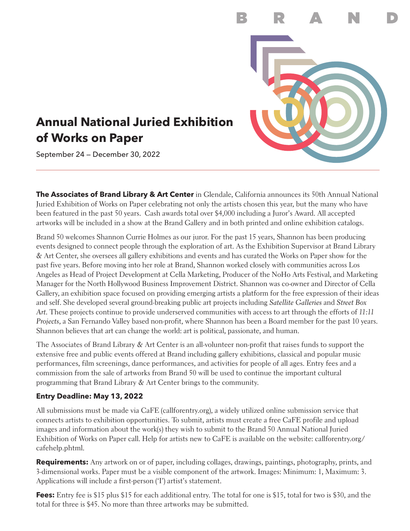

# **Annual National Juried Exhibition of Works on Paper**

September 24 — December 30, 2022

**The Associates of Brand Library & Art Center** in Glendale, California announces its 50th Annual National Juried Exhibition of Works on Paper celebrating not only the artists chosen this year, but the many who have been featured in the past 50 years. Cash awards total over \$4,000 including a Juror's Award. All accepted artworks will be included in a show at the Brand Gallery and in both printed and online exhibition catalogs.

Brand 50 welcomes Shannon Currie Holmes as our juror. For the past 15 years, Shannon has been producing events designed to connect people through the exploration of art. As the Exhibition Supervisor at Brand Library & Art Center, she oversees all gallery exhibitions and events and has curated the Works on Paper show for the past five years. Before moving into her role at Brand, Shannon worked closely with communities across Los Angeles as Head of Project Development at Cella Marketing, Producer of the NoHo Arts Festival, and Marketing Manager for the North Hollywood Business Improvement District. Shannon was co-owner and Director of Cella Gallery, an exhibition space focused on providing emerging artists a platform for the free expression of their ideas and self. She developed several ground-breaking public art projects including *Satellite Galleries* and *Street Box Art*. These projects continue to provide underserved communities with access to art through the efforts of *11:11 Projects*, a San Fernando Valley based non-profit, where Shannon has been a Board member for the past 10 years. Shannon believes that art can change the world: art is political, passionate, and human.

The Associates of Brand Library & Art Center is an all-volunteer non-profit that raises funds to support the extensive free and public events offered at Brand including gallery exhibitions, classical and popular music performances, film screenings, dance performances, and activities for people of all ages. Entry fees and a commission from the sale of artworks from Brand 50 will be used to continue the important cultural programming that Brand Library & Art Center brings to the community.

# **Entry Deadline: May 13, 2022**

All submissions must be made via CaFE (callforentry.org), a widely utilized online submission service that connects artists to exhibition opportunities. To submit, artists must create a free CaFE profile and upload images and information about the work(s) they wish to submit to the Brand 50 Annual National Juried Exhibition of Works on Paper call. Help for artists new to CaFE is available on the website: callforentry.org/ cafehelp.phtml.

**Requirements:** Any artwork on or of paper, including collages, drawings, paintings, photography, prints, and 3-dimensional works. Paper must be a visible component of the artwork. Images: Minimum: 1, Maximum: 3. Applications will include a first-person ('I') artist's statement.

**Fees:** Entry fee is \$15 plus \$15 for each additional entry. The total for one is \$15, total for two is \$30, and the total for three is \$45. No more than three artworks may be submitted.